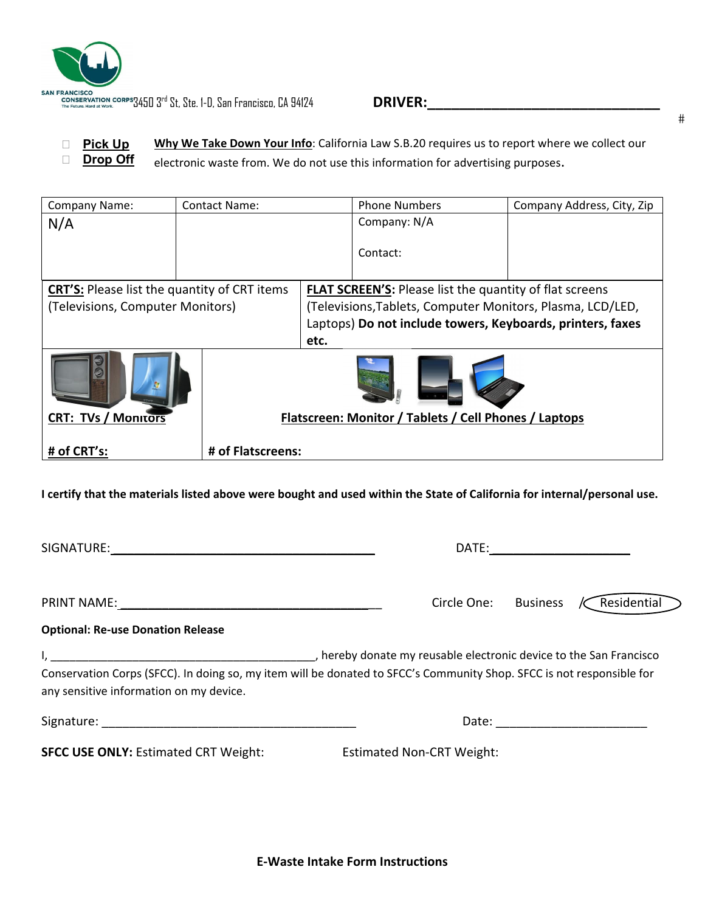

 **Pick Up Drop Off Why We Take Down Your Info**: California Law S.B.20 requires us to report where we collect our electronic waste from. We do not use this information for advertising purposes.

| Company Name:                                       | <b>Contact Name:</b> |                                                                | <b>Phone Numbers</b> | Company Address, City, Zip |  |  |
|-----------------------------------------------------|----------------------|----------------------------------------------------------------|----------------------|----------------------------|--|--|
| N/A                                                 |                      |                                                                | Company: N/A         |                            |  |  |
|                                                     |                      |                                                                |                      |                            |  |  |
|                                                     |                      |                                                                | Contact:             |                            |  |  |
|                                                     |                      |                                                                |                      |                            |  |  |
| <b>CRT'S:</b> Please list the quantity of CRT items |                      | <b>FLAT SCREEN'S:</b> Please list the quantity of flat screens |                      |                            |  |  |
| (Televisions, Computer Monitors)                    |                      | (Televisions, Tablets, Computer Monitors, Plasma, LCD/LED,     |                      |                            |  |  |
|                                                     |                      | Laptops) Do not include towers, Keyboards, printers, faxes     |                      |                            |  |  |
|                                                     |                      | etc.                                                           |                      |                            |  |  |
|                                                     |                      |                                                                |                      |                            |  |  |
| <b>CRT: TVs / Monitors</b>                          |                      | Flatscreen: Monitor / Tablets / Cell Phones / Laptops          |                      |                            |  |  |
| # of CRT's:                                         | # of Flatscreens:    |                                                                |                      |                            |  |  |

I certify that the materials listed above were bought and used within the State of California for internal/personal use.

|                                                                                                                                                                  | Circle One: Business             | Residential                  |
|------------------------------------------------------------------------------------------------------------------------------------------------------------------|----------------------------------|------------------------------|
| <b>Optional: Re-use Donation Release</b>                                                                                                                         |                                  |                              |
| Conservation Corps (SFCC). In doing so, my item will be donated to SFCC's Community Shop. SFCC is not responsible for<br>any sensitive information on my device. |                                  |                              |
|                                                                                                                                                                  |                                  | Date: ______________________ |
| <b>SFCC USE ONLY: Estimated CRT Weight:</b>                                                                                                                      | <b>Estimated Non-CRT Weight:</b> |                              |
|                                                                                                                                                                  |                                  |                              |